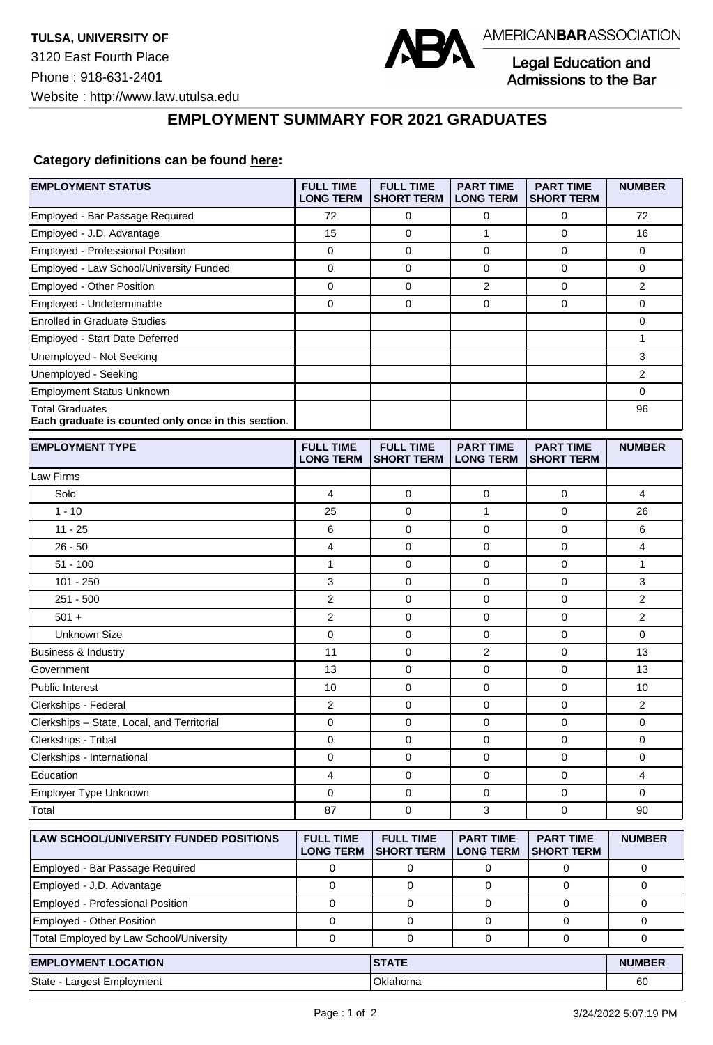

Legal Education and Admissions to the Bar

## **EMPLOYMENT SUMMARY FOR 2021 GRADUATES**

## **Category definitions can be found [here:](https://www.americanbar.org/content/dam/aba/administrative/legal_education_and_admissions_to_the_bar/Questionnaires/2021/2022-employment-protocols-for-the-class-of-2021-september-2021.pdf)**

| Employed - Bar Passage Required<br>72<br>0<br>0<br>0<br>72<br>Employed - J.D. Advantage<br>15<br>$\mathbf 0$<br>0<br>1<br>16<br>Employed - Professional Position<br>0<br>0<br>0<br>0<br>0<br>Employed - Law School/University Funded<br>$\mathbf 0$<br>$\mathbf 0$<br>0<br>0<br>0<br>Employed - Other Position<br>0<br>0<br>2<br>0<br>2<br>Employed - Undeterminable<br>0<br>$\mathbf 0$<br>0<br>$\mathbf 0$<br>0<br><b>Enrolled in Graduate Studies</b><br>0<br>1<br><b>Employed - Start Date Deferred</b><br>3<br>Unemployed - Not Seeking<br>Unemployed - Seeking<br>2<br><b>Employment Status Unknown</b><br>0<br><b>Total Graduates</b><br>96<br>Each graduate is counted only once in this section.<br><b>EMPLOYMENT TYPE</b><br><b>FULL TIME</b><br><b>FULL TIME</b><br><b>PART TIME</b><br><b>PART TIME</b><br><b>NUMBER</b><br><b>LONG TERM</b><br><b>SHORT TERM</b><br><b>LONG TERM</b><br><b>SHORT TERM</b><br>Law Firms<br>Solo<br>4<br>0<br>$\mathbf 0$<br>4<br>0<br>$1 - 10$<br>$\mathbf 0$<br>1<br>$\mathbf 0$<br>25<br>26<br>$11 - 25$<br>$\mathbf 0$<br>$\mathbf 0$<br>6<br>0<br>6<br>4<br>$\mathbf{0}$<br>4<br>$26 - 50$<br>$\mathbf 0$<br>0<br>$51 - 100$<br>1<br>0<br>0<br>0<br>1<br>$101 - 250$<br>3<br>$\mathbf 0$<br>$\mathbf 0$<br>3<br>0<br>$251 - 500$<br>2<br>$\mathbf 0$<br>2<br>0<br>0<br>2<br>$\overline{2}$<br>0<br>0<br>$\mathbf 0$<br>$501 +$<br><b>Unknown Size</b><br>0<br>0<br>0<br>0<br>0<br>11<br>$\mathbf 0$<br>2<br>$\mathbf 0$<br>Business & Industry<br>13<br>$\mathbf 0$<br>$\mathbf 0$<br>Government<br>13<br>0<br>13<br>$\mathbf 0$<br>$\mathbf 0$<br><b>Public Interest</b><br>10<br>0<br>10<br>2<br>$\mathbf 0$<br>0<br>$\mathbf 0$<br>2<br>Clerkships - Federal<br>Clerkships - State, Local, and Territorial<br>0<br>$\mathbf 0$<br>0<br>$\mathbf 0$<br>0<br>Clerkships - Tribal<br>0<br>0<br>0<br>0<br>0<br>$\mathbf 0$<br>0<br>0<br>Clerkships - International<br>0<br>0<br>Education<br>4<br>4<br>0<br>0<br>0<br>Employer Type Unknown<br>$\mathbf 0$<br>$\mathbf 0$<br>0<br>0<br>0<br>$\mathbf 0$<br>Total<br>87<br>0<br>3<br>90<br><b>FULL TIME</b><br>LAW SCHOOL/UNIVERSITY FUNDED POSITIONS<br><b>FULL TIME</b><br><b>PART TIME</b><br><b>PART TIME</b><br><b>NUMBER</b><br><b>LONG TERM</b><br><b>SHORT TERM</b><br><b>LONG TERM</b><br><b>SHORT TERM</b><br>Employed - Bar Passage Required<br>0<br>0<br>0<br>0<br>0<br>Employed - J.D. Advantage<br>$\mathbf 0$<br>0<br>0<br>0<br>$\mathbf 0$<br><b>Employed - Professional Position</b><br>$\mathbf 0$<br>0<br>$\mathbf 0$<br>$\mathbf 0$<br>0<br>Employed - Other Position<br>0<br>0<br>0<br>0<br>0<br>Total Employed by Law School/University<br>$\mathsf 0$<br>$\mathbf 0$<br>$\mathbf 0$<br>$\mathbf 0$<br>0<br><b>EMPLOYMENT LOCATION</b><br><b>STATE</b><br><b>NUMBER</b><br>State - Largest Employment<br>Oklahoma<br>60 | <b>EMPLOYMENT STATUS</b> | <b>FULL TIME</b><br><b>LONG TERM</b> | <b>FULL TIME</b><br><b>SHORT TERM</b> | <b>PART TIME</b><br><b>LONG TERM</b> | <b>PART TIME</b><br><b>SHORT TERM</b> | <b>NUMBER</b> |
|---------------------------------------------------------------------------------------------------------------------------------------------------------------------------------------------------------------------------------------------------------------------------------------------------------------------------------------------------------------------------------------------------------------------------------------------------------------------------------------------------------------------------------------------------------------------------------------------------------------------------------------------------------------------------------------------------------------------------------------------------------------------------------------------------------------------------------------------------------------------------------------------------------------------------------------------------------------------------------------------------------------------------------------------------------------------------------------------------------------------------------------------------------------------------------------------------------------------------------------------------------------------------------------------------------------------------------------------------------------------------------------------------------------------------------------------------------------------------------------------------------------------------------------------------------------------------------------------------------------------------------------------------------------------------------------------------------------------------------------------------------------------------------------------------------------------------------------------------------------------------------------------------------------------------------------------------------------------------------------------------------------------------------------------------------------------------------------------------------------------------------------------------------------------------------------------------------------------------------------------------------------------------------------------------------------------------------------------------------------------------------------------------------------------------------------------------------------------------------------------------------------------------------------------------------------------------------------------------------------------------------------------------------------------------------------------------------------------------------------------------------------------------------------------------------------------------------------------|--------------------------|--------------------------------------|---------------------------------------|--------------------------------------|---------------------------------------|---------------|
|                                                                                                                                                                                                                                                                                                                                                                                                                                                                                                                                                                                                                                                                                                                                                                                                                                                                                                                                                                                                                                                                                                                                                                                                                                                                                                                                                                                                                                                                                                                                                                                                                                                                                                                                                                                                                                                                                                                                                                                                                                                                                                                                                                                                                                                                                                                                                                                                                                                                                                                                                                                                                                                                                                                                                                                                                                             |                          |                                      |                                       |                                      |                                       |               |
|                                                                                                                                                                                                                                                                                                                                                                                                                                                                                                                                                                                                                                                                                                                                                                                                                                                                                                                                                                                                                                                                                                                                                                                                                                                                                                                                                                                                                                                                                                                                                                                                                                                                                                                                                                                                                                                                                                                                                                                                                                                                                                                                                                                                                                                                                                                                                                                                                                                                                                                                                                                                                                                                                                                                                                                                                                             |                          |                                      |                                       |                                      |                                       |               |
|                                                                                                                                                                                                                                                                                                                                                                                                                                                                                                                                                                                                                                                                                                                                                                                                                                                                                                                                                                                                                                                                                                                                                                                                                                                                                                                                                                                                                                                                                                                                                                                                                                                                                                                                                                                                                                                                                                                                                                                                                                                                                                                                                                                                                                                                                                                                                                                                                                                                                                                                                                                                                                                                                                                                                                                                                                             |                          |                                      |                                       |                                      |                                       |               |
|                                                                                                                                                                                                                                                                                                                                                                                                                                                                                                                                                                                                                                                                                                                                                                                                                                                                                                                                                                                                                                                                                                                                                                                                                                                                                                                                                                                                                                                                                                                                                                                                                                                                                                                                                                                                                                                                                                                                                                                                                                                                                                                                                                                                                                                                                                                                                                                                                                                                                                                                                                                                                                                                                                                                                                                                                                             |                          |                                      |                                       |                                      |                                       |               |
|                                                                                                                                                                                                                                                                                                                                                                                                                                                                                                                                                                                                                                                                                                                                                                                                                                                                                                                                                                                                                                                                                                                                                                                                                                                                                                                                                                                                                                                                                                                                                                                                                                                                                                                                                                                                                                                                                                                                                                                                                                                                                                                                                                                                                                                                                                                                                                                                                                                                                                                                                                                                                                                                                                                                                                                                                                             |                          |                                      |                                       |                                      |                                       |               |
|                                                                                                                                                                                                                                                                                                                                                                                                                                                                                                                                                                                                                                                                                                                                                                                                                                                                                                                                                                                                                                                                                                                                                                                                                                                                                                                                                                                                                                                                                                                                                                                                                                                                                                                                                                                                                                                                                                                                                                                                                                                                                                                                                                                                                                                                                                                                                                                                                                                                                                                                                                                                                                                                                                                                                                                                                                             |                          |                                      |                                       |                                      |                                       |               |
|                                                                                                                                                                                                                                                                                                                                                                                                                                                                                                                                                                                                                                                                                                                                                                                                                                                                                                                                                                                                                                                                                                                                                                                                                                                                                                                                                                                                                                                                                                                                                                                                                                                                                                                                                                                                                                                                                                                                                                                                                                                                                                                                                                                                                                                                                                                                                                                                                                                                                                                                                                                                                                                                                                                                                                                                                                             |                          |                                      |                                       |                                      |                                       |               |
|                                                                                                                                                                                                                                                                                                                                                                                                                                                                                                                                                                                                                                                                                                                                                                                                                                                                                                                                                                                                                                                                                                                                                                                                                                                                                                                                                                                                                                                                                                                                                                                                                                                                                                                                                                                                                                                                                                                                                                                                                                                                                                                                                                                                                                                                                                                                                                                                                                                                                                                                                                                                                                                                                                                                                                                                                                             |                          |                                      |                                       |                                      |                                       |               |
|                                                                                                                                                                                                                                                                                                                                                                                                                                                                                                                                                                                                                                                                                                                                                                                                                                                                                                                                                                                                                                                                                                                                                                                                                                                                                                                                                                                                                                                                                                                                                                                                                                                                                                                                                                                                                                                                                                                                                                                                                                                                                                                                                                                                                                                                                                                                                                                                                                                                                                                                                                                                                                                                                                                                                                                                                                             |                          |                                      |                                       |                                      |                                       |               |
|                                                                                                                                                                                                                                                                                                                                                                                                                                                                                                                                                                                                                                                                                                                                                                                                                                                                                                                                                                                                                                                                                                                                                                                                                                                                                                                                                                                                                                                                                                                                                                                                                                                                                                                                                                                                                                                                                                                                                                                                                                                                                                                                                                                                                                                                                                                                                                                                                                                                                                                                                                                                                                                                                                                                                                                                                                             |                          |                                      |                                       |                                      |                                       |               |
|                                                                                                                                                                                                                                                                                                                                                                                                                                                                                                                                                                                                                                                                                                                                                                                                                                                                                                                                                                                                                                                                                                                                                                                                                                                                                                                                                                                                                                                                                                                                                                                                                                                                                                                                                                                                                                                                                                                                                                                                                                                                                                                                                                                                                                                                                                                                                                                                                                                                                                                                                                                                                                                                                                                                                                                                                                             |                          |                                      |                                       |                                      |                                       |               |
|                                                                                                                                                                                                                                                                                                                                                                                                                                                                                                                                                                                                                                                                                                                                                                                                                                                                                                                                                                                                                                                                                                                                                                                                                                                                                                                                                                                                                                                                                                                                                                                                                                                                                                                                                                                                                                                                                                                                                                                                                                                                                                                                                                                                                                                                                                                                                                                                                                                                                                                                                                                                                                                                                                                                                                                                                                             |                          |                                      |                                       |                                      |                                       |               |
|                                                                                                                                                                                                                                                                                                                                                                                                                                                                                                                                                                                                                                                                                                                                                                                                                                                                                                                                                                                                                                                                                                                                                                                                                                                                                                                                                                                                                                                                                                                                                                                                                                                                                                                                                                                                                                                                                                                                                                                                                                                                                                                                                                                                                                                                                                                                                                                                                                                                                                                                                                                                                                                                                                                                                                                                                                             |                          |                                      |                                       |                                      |                                       |               |
|                                                                                                                                                                                                                                                                                                                                                                                                                                                                                                                                                                                                                                                                                                                                                                                                                                                                                                                                                                                                                                                                                                                                                                                                                                                                                                                                                                                                                                                                                                                                                                                                                                                                                                                                                                                                                                                                                                                                                                                                                                                                                                                                                                                                                                                                                                                                                                                                                                                                                                                                                                                                                                                                                                                                                                                                                                             |                          |                                      |                                       |                                      |                                       |               |
|                                                                                                                                                                                                                                                                                                                                                                                                                                                                                                                                                                                                                                                                                                                                                                                                                                                                                                                                                                                                                                                                                                                                                                                                                                                                                                                                                                                                                                                                                                                                                                                                                                                                                                                                                                                                                                                                                                                                                                                                                                                                                                                                                                                                                                                                                                                                                                                                                                                                                                                                                                                                                                                                                                                                                                                                                                             |                          |                                      |                                       |                                      |                                       |               |
|                                                                                                                                                                                                                                                                                                                                                                                                                                                                                                                                                                                                                                                                                                                                                                                                                                                                                                                                                                                                                                                                                                                                                                                                                                                                                                                                                                                                                                                                                                                                                                                                                                                                                                                                                                                                                                                                                                                                                                                                                                                                                                                                                                                                                                                                                                                                                                                                                                                                                                                                                                                                                                                                                                                                                                                                                                             |                          |                                      |                                       |                                      |                                       |               |
|                                                                                                                                                                                                                                                                                                                                                                                                                                                                                                                                                                                                                                                                                                                                                                                                                                                                                                                                                                                                                                                                                                                                                                                                                                                                                                                                                                                                                                                                                                                                                                                                                                                                                                                                                                                                                                                                                                                                                                                                                                                                                                                                                                                                                                                                                                                                                                                                                                                                                                                                                                                                                                                                                                                                                                                                                                             |                          |                                      |                                       |                                      |                                       |               |
|                                                                                                                                                                                                                                                                                                                                                                                                                                                                                                                                                                                                                                                                                                                                                                                                                                                                                                                                                                                                                                                                                                                                                                                                                                                                                                                                                                                                                                                                                                                                                                                                                                                                                                                                                                                                                                                                                                                                                                                                                                                                                                                                                                                                                                                                                                                                                                                                                                                                                                                                                                                                                                                                                                                                                                                                                                             |                          |                                      |                                       |                                      |                                       |               |
|                                                                                                                                                                                                                                                                                                                                                                                                                                                                                                                                                                                                                                                                                                                                                                                                                                                                                                                                                                                                                                                                                                                                                                                                                                                                                                                                                                                                                                                                                                                                                                                                                                                                                                                                                                                                                                                                                                                                                                                                                                                                                                                                                                                                                                                                                                                                                                                                                                                                                                                                                                                                                                                                                                                                                                                                                                             |                          |                                      |                                       |                                      |                                       |               |
|                                                                                                                                                                                                                                                                                                                                                                                                                                                                                                                                                                                                                                                                                                                                                                                                                                                                                                                                                                                                                                                                                                                                                                                                                                                                                                                                                                                                                                                                                                                                                                                                                                                                                                                                                                                                                                                                                                                                                                                                                                                                                                                                                                                                                                                                                                                                                                                                                                                                                                                                                                                                                                                                                                                                                                                                                                             |                          |                                      |                                       |                                      |                                       |               |
|                                                                                                                                                                                                                                                                                                                                                                                                                                                                                                                                                                                                                                                                                                                                                                                                                                                                                                                                                                                                                                                                                                                                                                                                                                                                                                                                                                                                                                                                                                                                                                                                                                                                                                                                                                                                                                                                                                                                                                                                                                                                                                                                                                                                                                                                                                                                                                                                                                                                                                                                                                                                                                                                                                                                                                                                                                             |                          |                                      |                                       |                                      |                                       |               |
|                                                                                                                                                                                                                                                                                                                                                                                                                                                                                                                                                                                                                                                                                                                                                                                                                                                                                                                                                                                                                                                                                                                                                                                                                                                                                                                                                                                                                                                                                                                                                                                                                                                                                                                                                                                                                                                                                                                                                                                                                                                                                                                                                                                                                                                                                                                                                                                                                                                                                                                                                                                                                                                                                                                                                                                                                                             |                          |                                      |                                       |                                      |                                       |               |
|                                                                                                                                                                                                                                                                                                                                                                                                                                                                                                                                                                                                                                                                                                                                                                                                                                                                                                                                                                                                                                                                                                                                                                                                                                                                                                                                                                                                                                                                                                                                                                                                                                                                                                                                                                                                                                                                                                                                                                                                                                                                                                                                                                                                                                                                                                                                                                                                                                                                                                                                                                                                                                                                                                                                                                                                                                             |                          |                                      |                                       |                                      |                                       |               |
|                                                                                                                                                                                                                                                                                                                                                                                                                                                                                                                                                                                                                                                                                                                                                                                                                                                                                                                                                                                                                                                                                                                                                                                                                                                                                                                                                                                                                                                                                                                                                                                                                                                                                                                                                                                                                                                                                                                                                                                                                                                                                                                                                                                                                                                                                                                                                                                                                                                                                                                                                                                                                                                                                                                                                                                                                                             |                          |                                      |                                       |                                      |                                       |               |
|                                                                                                                                                                                                                                                                                                                                                                                                                                                                                                                                                                                                                                                                                                                                                                                                                                                                                                                                                                                                                                                                                                                                                                                                                                                                                                                                                                                                                                                                                                                                                                                                                                                                                                                                                                                                                                                                                                                                                                                                                                                                                                                                                                                                                                                                                                                                                                                                                                                                                                                                                                                                                                                                                                                                                                                                                                             |                          |                                      |                                       |                                      |                                       |               |
|                                                                                                                                                                                                                                                                                                                                                                                                                                                                                                                                                                                                                                                                                                                                                                                                                                                                                                                                                                                                                                                                                                                                                                                                                                                                                                                                                                                                                                                                                                                                                                                                                                                                                                                                                                                                                                                                                                                                                                                                                                                                                                                                                                                                                                                                                                                                                                                                                                                                                                                                                                                                                                                                                                                                                                                                                                             |                          |                                      |                                       |                                      |                                       |               |
|                                                                                                                                                                                                                                                                                                                                                                                                                                                                                                                                                                                                                                                                                                                                                                                                                                                                                                                                                                                                                                                                                                                                                                                                                                                                                                                                                                                                                                                                                                                                                                                                                                                                                                                                                                                                                                                                                                                                                                                                                                                                                                                                                                                                                                                                                                                                                                                                                                                                                                                                                                                                                                                                                                                                                                                                                                             |                          |                                      |                                       |                                      |                                       |               |
|                                                                                                                                                                                                                                                                                                                                                                                                                                                                                                                                                                                                                                                                                                                                                                                                                                                                                                                                                                                                                                                                                                                                                                                                                                                                                                                                                                                                                                                                                                                                                                                                                                                                                                                                                                                                                                                                                                                                                                                                                                                                                                                                                                                                                                                                                                                                                                                                                                                                                                                                                                                                                                                                                                                                                                                                                                             |                          |                                      |                                       |                                      |                                       |               |
|                                                                                                                                                                                                                                                                                                                                                                                                                                                                                                                                                                                                                                                                                                                                                                                                                                                                                                                                                                                                                                                                                                                                                                                                                                                                                                                                                                                                                                                                                                                                                                                                                                                                                                                                                                                                                                                                                                                                                                                                                                                                                                                                                                                                                                                                                                                                                                                                                                                                                                                                                                                                                                                                                                                                                                                                                                             |                          |                                      |                                       |                                      |                                       |               |
|                                                                                                                                                                                                                                                                                                                                                                                                                                                                                                                                                                                                                                                                                                                                                                                                                                                                                                                                                                                                                                                                                                                                                                                                                                                                                                                                                                                                                                                                                                                                                                                                                                                                                                                                                                                                                                                                                                                                                                                                                                                                                                                                                                                                                                                                                                                                                                                                                                                                                                                                                                                                                                                                                                                                                                                                                                             |                          |                                      |                                       |                                      |                                       |               |
|                                                                                                                                                                                                                                                                                                                                                                                                                                                                                                                                                                                                                                                                                                                                                                                                                                                                                                                                                                                                                                                                                                                                                                                                                                                                                                                                                                                                                                                                                                                                                                                                                                                                                                                                                                                                                                                                                                                                                                                                                                                                                                                                                                                                                                                                                                                                                                                                                                                                                                                                                                                                                                                                                                                                                                                                                                             |                          |                                      |                                       |                                      |                                       |               |
|                                                                                                                                                                                                                                                                                                                                                                                                                                                                                                                                                                                                                                                                                                                                                                                                                                                                                                                                                                                                                                                                                                                                                                                                                                                                                                                                                                                                                                                                                                                                                                                                                                                                                                                                                                                                                                                                                                                                                                                                                                                                                                                                                                                                                                                                                                                                                                                                                                                                                                                                                                                                                                                                                                                                                                                                                                             |                          |                                      |                                       |                                      |                                       |               |
|                                                                                                                                                                                                                                                                                                                                                                                                                                                                                                                                                                                                                                                                                                                                                                                                                                                                                                                                                                                                                                                                                                                                                                                                                                                                                                                                                                                                                                                                                                                                                                                                                                                                                                                                                                                                                                                                                                                                                                                                                                                                                                                                                                                                                                                                                                                                                                                                                                                                                                                                                                                                                                                                                                                                                                                                                                             |                          |                                      |                                       |                                      |                                       |               |
|                                                                                                                                                                                                                                                                                                                                                                                                                                                                                                                                                                                                                                                                                                                                                                                                                                                                                                                                                                                                                                                                                                                                                                                                                                                                                                                                                                                                                                                                                                                                                                                                                                                                                                                                                                                                                                                                                                                                                                                                                                                                                                                                                                                                                                                                                                                                                                                                                                                                                                                                                                                                                                                                                                                                                                                                                                             |                          |                                      |                                       |                                      |                                       |               |
|                                                                                                                                                                                                                                                                                                                                                                                                                                                                                                                                                                                                                                                                                                                                                                                                                                                                                                                                                                                                                                                                                                                                                                                                                                                                                                                                                                                                                                                                                                                                                                                                                                                                                                                                                                                                                                                                                                                                                                                                                                                                                                                                                                                                                                                                                                                                                                                                                                                                                                                                                                                                                                                                                                                                                                                                                                             |                          |                                      |                                       |                                      |                                       |               |
|                                                                                                                                                                                                                                                                                                                                                                                                                                                                                                                                                                                                                                                                                                                                                                                                                                                                                                                                                                                                                                                                                                                                                                                                                                                                                                                                                                                                                                                                                                                                                                                                                                                                                                                                                                                                                                                                                                                                                                                                                                                                                                                                                                                                                                                                                                                                                                                                                                                                                                                                                                                                                                                                                                                                                                                                                                             |                          |                                      |                                       |                                      |                                       |               |
|                                                                                                                                                                                                                                                                                                                                                                                                                                                                                                                                                                                                                                                                                                                                                                                                                                                                                                                                                                                                                                                                                                                                                                                                                                                                                                                                                                                                                                                                                                                                                                                                                                                                                                                                                                                                                                                                                                                                                                                                                                                                                                                                                                                                                                                                                                                                                                                                                                                                                                                                                                                                                                                                                                                                                                                                                                             |                          |                                      |                                       |                                      |                                       |               |
|                                                                                                                                                                                                                                                                                                                                                                                                                                                                                                                                                                                                                                                                                                                                                                                                                                                                                                                                                                                                                                                                                                                                                                                                                                                                                                                                                                                                                                                                                                                                                                                                                                                                                                                                                                                                                                                                                                                                                                                                                                                                                                                                                                                                                                                                                                                                                                                                                                                                                                                                                                                                                                                                                                                                                                                                                                             |                          |                                      |                                       |                                      |                                       |               |
|                                                                                                                                                                                                                                                                                                                                                                                                                                                                                                                                                                                                                                                                                                                                                                                                                                                                                                                                                                                                                                                                                                                                                                                                                                                                                                                                                                                                                                                                                                                                                                                                                                                                                                                                                                                                                                                                                                                                                                                                                                                                                                                                                                                                                                                                                                                                                                                                                                                                                                                                                                                                                                                                                                                                                                                                                                             |                          |                                      |                                       |                                      |                                       |               |
|                                                                                                                                                                                                                                                                                                                                                                                                                                                                                                                                                                                                                                                                                                                                                                                                                                                                                                                                                                                                                                                                                                                                                                                                                                                                                                                                                                                                                                                                                                                                                                                                                                                                                                                                                                                                                                                                                                                                                                                                                                                                                                                                                                                                                                                                                                                                                                                                                                                                                                                                                                                                                                                                                                                                                                                                                                             |                          |                                      |                                       |                                      |                                       |               |
|                                                                                                                                                                                                                                                                                                                                                                                                                                                                                                                                                                                                                                                                                                                                                                                                                                                                                                                                                                                                                                                                                                                                                                                                                                                                                                                                                                                                                                                                                                                                                                                                                                                                                                                                                                                                                                                                                                                                                                                                                                                                                                                                                                                                                                                                                                                                                                                                                                                                                                                                                                                                                                                                                                                                                                                                                                             |                          |                                      |                                       |                                      |                                       |               |